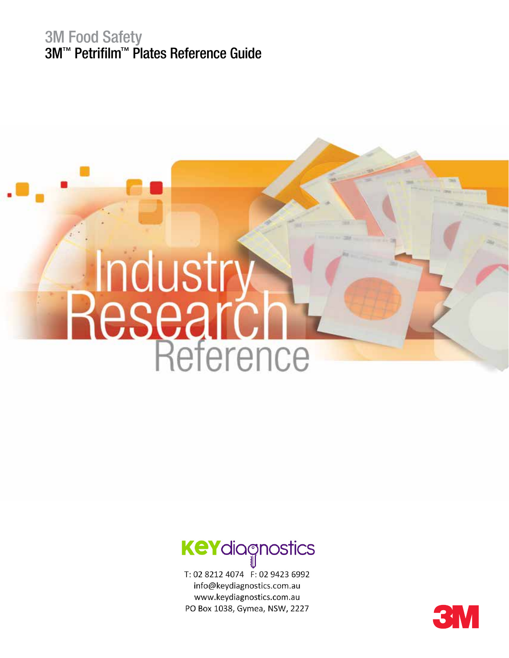### 3M Food Safety 3M™ Petrifilm™ Plates Reference Guide





T: 02 8212 4074 F: 02 9423 6992 info@keydiagnostics.com.au www.keydiagnostics.com.au PO Box 1038, Gymea, NSW, 2227

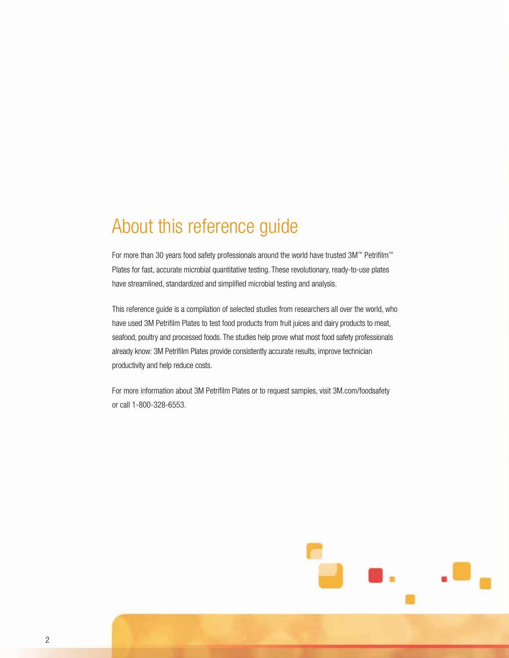# About this reference guide

For more than 30 years food safety professionals around the world have trusted 3M™ Petrifilm™ Plates for fast, accurate microbial quantitative testing. These revolutionary, ready-to-use plates have streamlined, standardized and simplified microbial testing and analysis.

This reference guide is a compilation of selected studies from researchers all over the world, who have used 3M Petrifilm Plates to test food products from fruit juices and dairy products to meat, seafood, poultry and processed foods. The studies help prove what most food safety professionals already know: 3M Petrifilm Plates provide consistently accurate results, improve technician productivity and help reduce costs.

For more information about 3M Petrifilm Plates or to request samples, visit 3M.com/foodsafety or call 1-800-328-6553.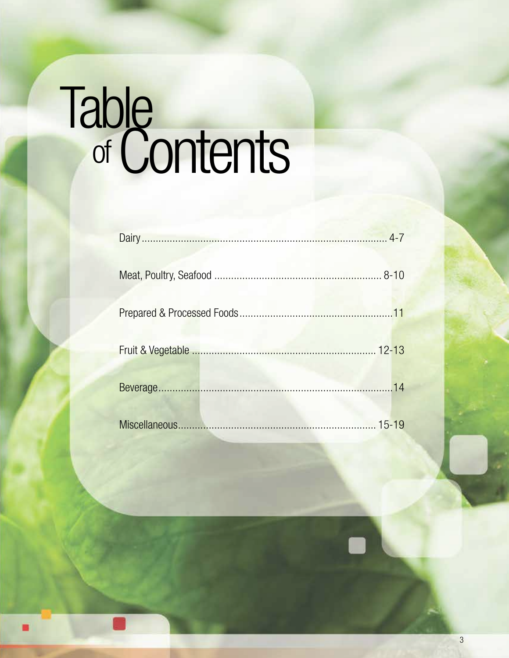# Table<br>of Contents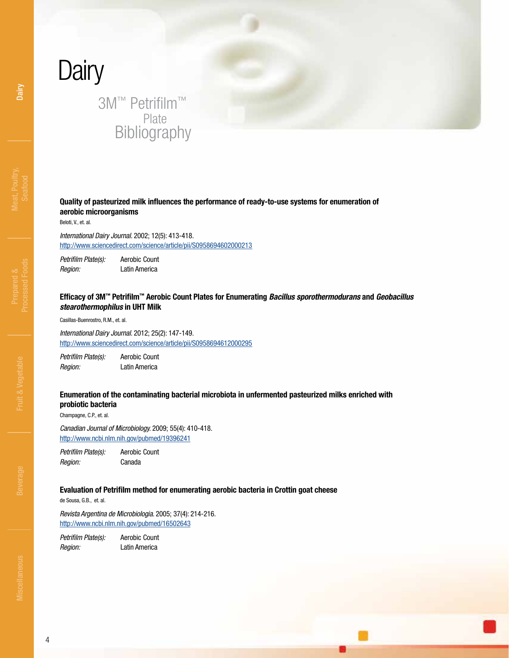# <span id="page-3-0"></span>**Dairy** 3M™ Petrifilm™ Plate Bibliography

### **Quality of pasteurized milk influences the performance of ready-to-use systems for enumeration of aerobic microorganisms**

Beloti, V., et. al.

*International Dairy Journal.* 2002; 12(5): 413-418. <http://www.sciencedirect.com/science/article/pii/S0958694602000213>

*Petrifilm Plate(s):* Aerobic Count *Region:* Latin America

### **Efficacy of 3M™ Petrifilm™ Aerobic Count Plates for Enumerating** *Bacillus sporothermodurans* **and** *Geobacillus stearothermophilus* **in UHT Milk**

Casillas-Buenrostro, R.M., et. al.

*International Dairy Journal.* 2012; 25(2): 147-149. <http://www.sciencedirect.com/science/article/pii/S0958694612000295>

*Petrifilm Plate(s):* Aerobic Count *Region:* Latin America

### **Enumeration of the contaminating bacterial microbiota in unfermented pasteurized milks enriched with probiotic bacteria**

Champagne, C.P., et. al.

*Canadian Journal of Microbiology.* 2009; 55(4): 410-418. <http://www.ncbi.nlm.nih.gov/pubmed/19396241>

*Petrifilm Plate(s):* Aerobic Count *Region:* Canada

### **Evaluation of Petrifilm method for enumerating aerobic bacteria in Crottin goat cheese**

de Sousa, G.B., et. al.

*Revista Argentina de Microbiologia.* 2005; 37(4): 214-216. <http://www.ncbi.nlm.nih.gov/pubmed/16502643>

*Petrifilm Plate(s):* Aerobic Count *Region:* Latin America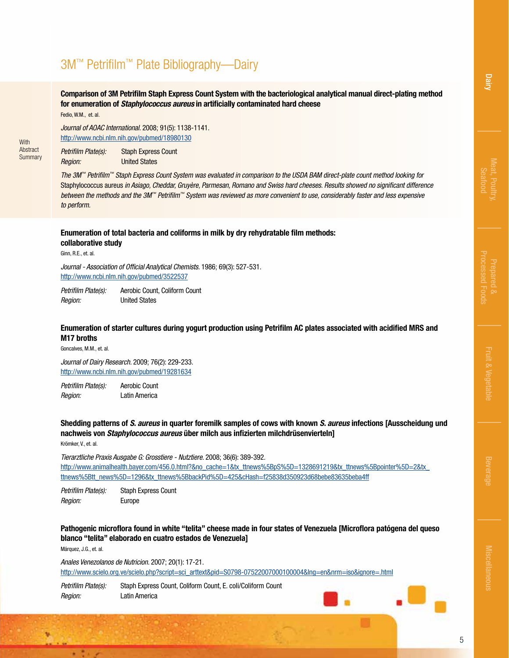[Dairy](#page-3-0)

### 3M™ Petrifilm™ Plate Bibliography—Dairy

**Comparison of 3M Petrifilm Staph Express Count System with the bacteriological analytical manual direct-plating method for enumeration of** *Staphylococcus aureus* **in artificially contaminated hard cheese** Fedio, W.M., et. al.

**With** Abstract **Summary** 

*Journal of AOAC International.* 2008; 91(5): 1138-1141. <http://www.ncbi.nlm.nih.gov/pubmed/18980130>

*[Petrifilm Plate\(s\):](http://www.ncbi.nlm.nih.gov/pubmed/18980130)* Staph Express Count *Region:* United States

*The 3M™ Petrifilm™ Staph Express Count System was evaluated in comparison to the USDA BAM direct-plate count method looking for*  Staphylococcus aureus *in Asiago, Cheddar, Gruyère, Parmesan, Romano and Swiss hard cheeses. Results showed no significant difference between the methods and the 3M™ Petrifilm™ System was reviewed as more convenient to use, considerably faster and less expensive to perform.*

### **Enumeration of total bacteria and coliforms in milk by dry rehydratable film methods: collaborative study**

Ginn, R.E., et. al.

*Journal - Association of Official Analytical Chemists.* 1986; 69(3): 527-531. <http://www.ncbi.nlm.nih.gov/pubmed/3522537>

*[Petrifilm Plate\(s\):](http://www.ncbi.nlm.nih.gov/pubmed/3522537)* Aerobic Count, Coliform Count *Region:* United States

### **Enumeration of starter cultures during yogurt production using Petrifilm AC plates associated with acidified MRS and M17 broths**

Goncalves, M.M., et. al.

*Journal of Dairy Research.* 2009; 76(2): 229-233. <http://www.ncbi.nlm.nih.gov/pubmed/19281634>

*Petrifilm Plate(s):* Aerobic Count *Region:* Latin America

**Shedding patterns of** *S. aureus* **in quarter foremilk samples of cows with known** *S. aureus* **infections [Ausscheidung und nachweis von** *Staphylococcus aureus* **über milch aus infizierten milchdrüsenvierteln]**

Krömker, V., et. al.

*Tierarztliche Praxis Ausgabe G: Grosstiere - Nutztiere.* 2008; 36(6): 389-392. http://www.animalhealth.bayer.com/456.0.html?&no\_cache=1&tx\_ttnews%5BpS%5D=1328691219&tx\_ttnews%5Bpointer%5D=2&tx [ttnews%5Btt\\_news%5D=1296&tx\\_ttnews%5BbackPid%5D=425&cHash=f25838d350923d68bebe83635beba4ff](http://www.animalhealth.bayer.com/456.0.html?&no_cache=1&tx_ttnews%5BpS%5D=1328691219&tx_ttnews%5Bpointer%5D=2&tx_ttnews%5Btt_news%5D=1296&tx_ttnews%5BbackPid%5D=425&cHash=f25838d350923d68bebe83635beba4ff)

*Petrifilm Plate(s):* Staph Express Count *Region:* Europe

### **Pathogenic microflora found in white "telita" cheese made in four states of Venezuela [Microflora patógena del queso blanco "telita" elaborado en cuatro estados de Venezuela]**

Márquez, J.G., et. al.

主要

*Anales Venezolanos de Nutricion.* 2007; 20(1): 17-21. [http://www.scielo.org.ve/scielo.php?script=sci\\_arttext&pid=S0798-07522007000100004&lng=en&nrm=iso&ignore=.html](http://www.scielo.org.ve/scielo.php?script=sci_arttext&pid=S0798-07522007000100004&lng=en&nrm=iso&ignore=.html)

*Petrifilm Plate(s):* [Staph Express Count, Coliform Count, E. coli/Coliform Count](http://www.scielo.org.ve/scielo.php?script=sci_arttext&pid=S0798-07522007000100004&lng=en&nrm=iso&ignore=.html) *Region:* Latin America



[Miscellaneous](#page-14-0)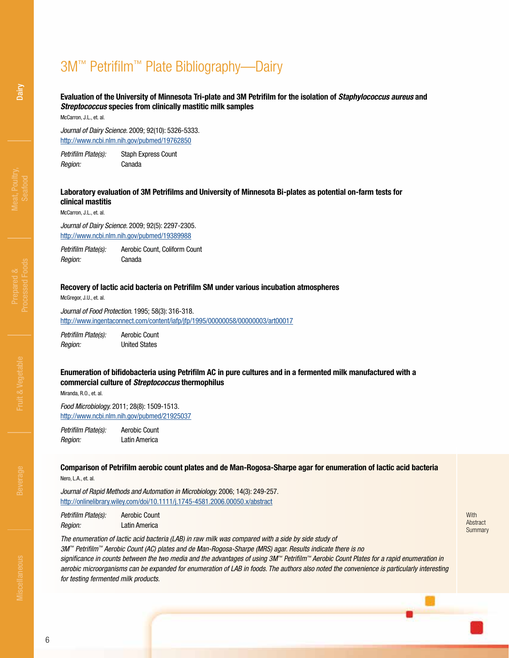# 3M™ Petrifilm™ Plate Bibliography—Dairy

### **Evaluation of the University of Minnesota Tri-plate and 3M Petrifilm for the isolation of** *Staphylococcus aureus* **and**  *Streptococcus* **species from clinically mastitic milk samples**

McCarron, J.L., et. al.

*Journal of Dairy Science.* 2009; 92(10): 5326-5333. <http://www.ncbi.nlm.nih.gov/pubmed/19762850>

*Petrifilm Plate(s):* Staph Express Count *Region:* Canada

### **Laboratory evaluation of 3M Petrifilms and University of Minnesota Bi-plates as potential on-farm tests for clinical mastitis**

McCarron, J.L., et. al.

*Journal of Dairy Science.* 2009; 92(5): 2297-2305. <http://www.ncbi.nlm.nih.gov/pubmed/19389988>

*Petrifilm Plate(s):* Aerobic Count, Coliform Count *Region:* Canada

### **Recovery of lactic acid bacteria on Petrifilm SM under various incubation atmospheres**

McGregor, J.U., et. al.

*Journal of Food Protection.* 1995; 58(3): 316-318. <http://www.ingentaconnect.com/content/iafp/jfp/1995/00000058/00000003/art00017>

*Petrifilm Plate(s):* Aerobic Count *Region:* United States

### **Enumeration of bifidobacteria using Petrifilm AC in pure cultures and in a fermented milk manufactured with a commercial culture of** *Streptococcus* **thermophilus**

Miranda, R.O., et. al.

*Food Microbiology.* 2011; 28(8): 1509-1513. <http://www.ncbi.nlm.nih.gov/pubmed/21925037>

*Petrifilm Plate(s):* Aerobic Count *Region:* Latin America

**Comparison of Petrifilm aerobic count plates and de Man-Rogosa-Sharpe agar for enumeration of lactic acid bacteria** Nero, L.A., et. al.

*Journal of Rapid Methods and Automation in Microbiology.* 2006; 14(3): 249-257. <http://onlinelibrary.wiley.com/doi/10.1111/j.1745-4581.2006.00050.x/abstract>

*Petrifilm Plate(s):* Aerobic Count *Region:* Latin America

**With** Abstract Summary

*The enumeration of lactic acid bacteria (LAB) in raw milk was compared with a side by side study of 3M™ Petrifilm™ Aerobic Count (AC) plates and de Man-Rogosa-Sharpe (MRS) agar. Results indicate there is no significance in counts between the two media and the advantages of using 3M™ Petrifilm™ Aerobic Count Plates for a rapid enumeration in aerobic microorganisms can be expanded for enumeration of LAB in foods. The authors also noted the convenience is particularly interesting for testing fermented milk products.*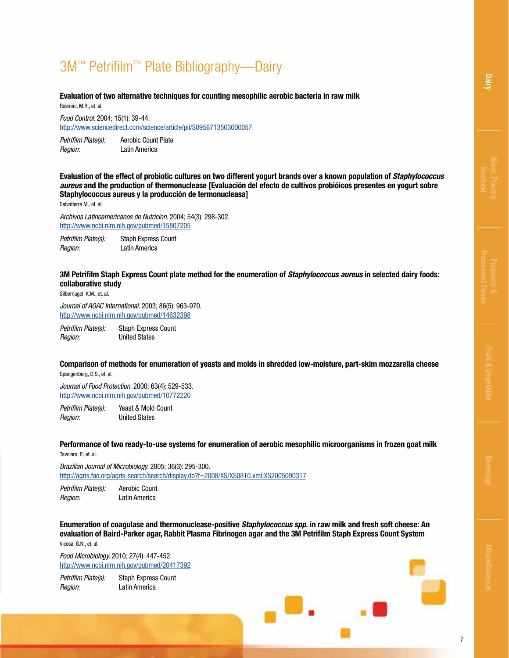# 3M™ Petrifilm™ Plate Bibliography—Dairy

**Evaluation of two alternative techniques for counting mesophilic aerobic bacteria in raw milk** Rosmini, M.R., et. al.

*Food Control.* 2004; 15(1): 39-44.

<http://www.sciencedirect.com/science/article/pii/S0956713503000057>

*Petrifilm Plate(s):* Aerobic Count Plate *Region:* Latin America

**Evaluation of the effect of probiotic cultures on two different yogurt brands over a known population of** *Staphylococcus aureus* **and the production of thermonuclease [Evaluación del efecto de cultivos probióicos presentes en yogurt sobre Staphylococcus aureus y la producción de termonucleasa]**

Salvatierra M., et. al.

*Archivos Latinoamericanos de Nutricion.* 2004; 54(3): 298-302. <http://www.ncbi.nlm.nih.gov/pubmed/15807205>

*Petrifilm Plate(s):* Staph Express Count *Region:* Latin America

#### **3M Petrifilm Staph Express Count plate method for the enumeration of** *Staphylococcus aureus* **in selected dairy foods: collaborative study**

Silbernagel, K.M., et. al.

*Journal of AOAC International.* 2003; 86(5): 963-970. <http://www.ncbi.nlm.nih.gov/pubmed/14632398>

*Petrifilm Plate(s):* Staph Express Count *Region:* United States

**Comparison of methods for enumeration of yeasts and molds in shredded low-moisture, part-skim mozzarella cheese** Spangenberg, D.S., et. al.

*Journal of Food Protection.* 2000; 63(4): 529-533. <http://www.ncbi.nlm.nih.gov/pubmed/10772220>

*Petrifilm Plate(s):* Yeast & Mold Count *Region:* United States

**Performance of two ready-to-use systems for enumeration of aerobic mesophilic microorganisms in frozen goat milk** Tavolaro, P., et. al.

*Brazilian Journal of Microbiology.* 2005; 36(3): 295-300. <http://agris.fao.org/agris-search/search/display.do?f=2008/XS/XS0810.xml;XS2005090317>

*Petrifilm Plate(s):* Aerobic Count *Region:* Latin America

**Enumeration of coagulase and thermonuclease-positive** *Staphylococcus spp.* **in raw milk and fresh soft cheese: An evaluation of Baird-Parker agar, Rabbit Plasma Fibrinogen agar and the 3M Petrifilm Staph Express Count System** Vicosa, G.N., et. al.

*Food Microbiology.* 2010; 27(4): 447-452. <http://www.ncbi.nlm.nih.gov/pubmed/20417392>

*Petrifilm Plate(s):* Staph Express Count *Region:* Latin America

[Dairy](#page-3-0)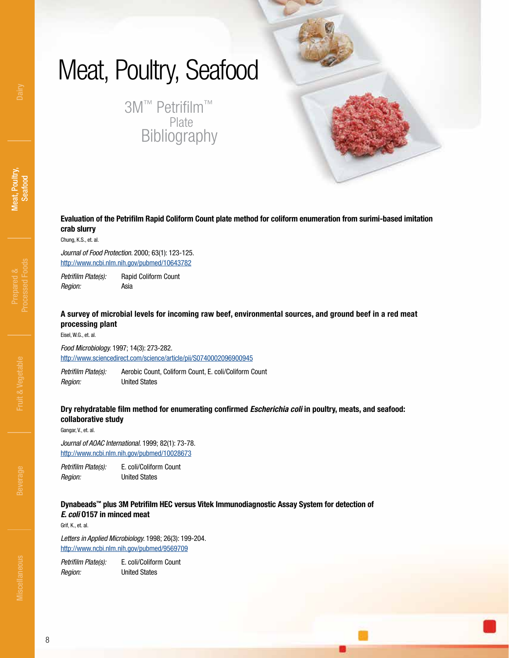# <span id="page-7-0"></span>Meat, Poultry, Seafood

3M™ Petrifilm™ Plate Bibliography

**Evaluation of the Petrifilm Rapid Coliform Count plate method for coliform enumeration from surimi-based imitation crab slurry**

Chung, K.S., et. al.

*Journal of Food Protection.* 2000; 63(1): 123-125. <http://www.ncbi.nlm.nih.gov/pubmed/10643782>

*Petrifilm Plate(s):* Rapid Coliform Count *Region:* Asia

**A survey of microbial levels for incoming raw beef, environmental sources, and ground beef in a red meat processing plant**

Eisel, W.G., et. al.

*Food Microbiology.* 1997; 14(3): 273-282. <http://www.sciencedirect.com/science/article/pii/S0740002096900945>

*Petrifilm Plate(s):* Aerobic Count, Coliform Count, E. coli/Coliform Count *Region:* United States

### **Dry rehydratable film method for enumerating confirmed** *Escherichia coli* **in poultry, meats, and seafood: collaborative study**

Gangar, V., et. al.

*Journal of AOAC International.* 1999; 82(1): 73-78. <http://www.ncbi.nlm.nih.gov/pubmed/10028673>

*Petrifilm Plate(s):* E. coli/Coliform Count *Region:* United States

### **Dynabeads™ plus 3M Petrifilm HEC versus Vitek Immunodiagnostic Assay System for detection of**  *E. coli* **O157 in minced meat**

Grif, K., et. al.

*Letters in Applied Microbiology.* 1998; 26(3): 199-204. <http://www.ncbi.nlm.nih.gov/pubmed/9569709>

*Petrifilm Plate(s):* E. coli/Coliform Count *Region:* United States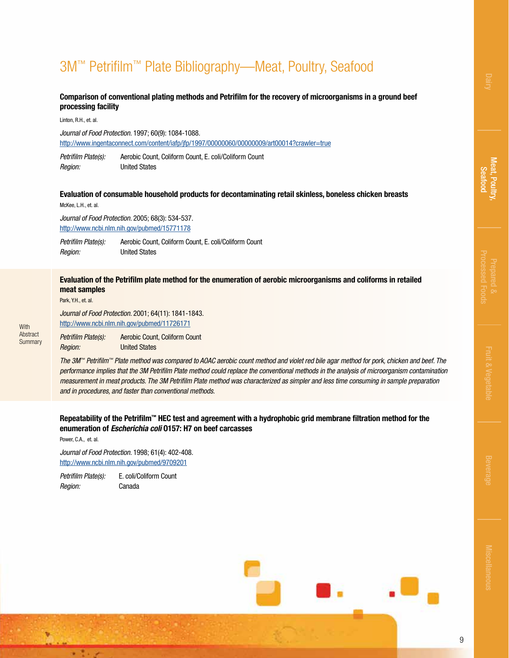# 3M™ Petrifilm™ Plate Bibliography—Meat, Poultry, Seafood

### **Comparison of conventional plating methods and Petrifilm for the recovery of microorganisms in a ground beef processing facility**

Linton, R.H., et. al.

*Journal of Food Protection.* 1997; 60(9): 1084-1088. <http://www.ingentaconnect.com/content/iafp/jfp/1997/00000060/00000009/art00014?crawler=true>

*Petrifilm Plate(s):* Aerobic Count, Coliform Count, E. coli/Coliform Count *Region:* United States

### **Evaluation of consumable household products for decontaminating retail skinless, boneless chicken breasts**

McKee, L.H., et. al.

*Journal of Food Protection.* 2005; 68(3): 534-537. <http://www.ncbi.nlm.nih.gov/pubmed/15771178>

*Petrifilm Plate(s):* Aerobic Count, Coliform Count, E. coli/Coliform Count *Region:* United States

### **Evaluation of the Petrifilm plate method for the enumeration of aerobic microorganisms and coliforms in retailed meat samples**

Park, Y.H., et. al.

**With** Abstract **Summary**  *Journal of Food Protection.* 2001; 64(11): 1841-1843. <http://www.ncbi.nlm.nih.gov/pubmed/11726171> *Petrifilm Plate(s):* Aerobic Count, Coliform Count

*Region:* United States

*The 3M™ Petrifilm™ Plate method was compared to AOAC aerobic count method and violet red bile agar method for pork, chicken and beef. The performance implies that the 3M Petrifilm Plate method could replace the conventional methods in the analysis of microorganism contamination measurement in meat products. The 3M Petrifilm Plate method was characterized as simpler and less time consuming in sample preparation and in procedures, and faster than conventional methods.*

### **Repeatability of the Petrifilm™ HEC test and agreement with a hydrophobic grid membrane filtration method for the enumeration of** *Escherichia coli* **O157: H7 on beef carcasses**

Power, C.A., et. al.

٠

*Journal of Food Protection.* 1998; 61(4): 402-408. <http://www.ncbi.nlm.nih.gov/pubmed/9709201>

*Petrifilm Plate(s):* E. coli/Coliform Count *Region:* Canada



9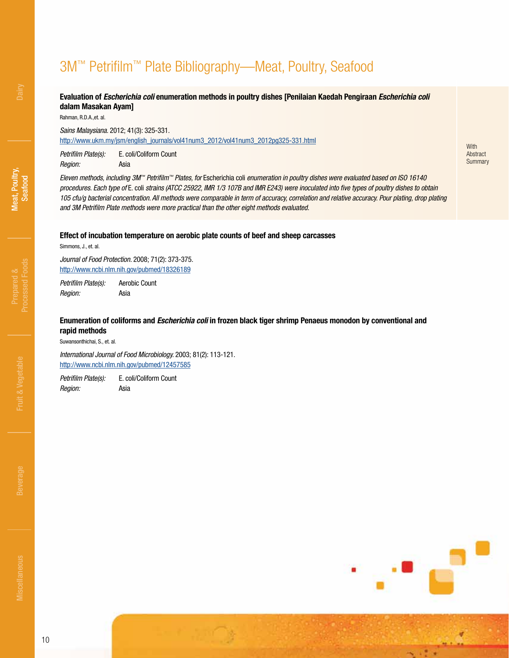# 3M™ Petrifilm™ Plate Bibliography—Meat, Poultry, Seafood

### **Evaluation of** *Escherichia coli* **enumeration methods in poultry dishes [Penilaian Kaedah Pengiraan** *Escherichia coli* **dalam Masakan Ayam]**

Rahman, R.D.A.,et. al.

*Sains Malaysiana.* 2012; 41(3): 325-331.

[http://www.ukm.my/jsm/english\\_journals/vol41num3\\_2012/vol41num3\\_2012pg325-331.html](http://www.ukm.my/jsm/english_journals/vol41num3_2012/vol41num3_2012pg325-331.html)

*Petrifilm Plate(s):* E. coli/Coliform Count *Region:* Asia

*Eleven methods, including 3M™ Petrifilm™ Plates, for* Escherichia coli *enumeration in poultry dishes were evaluated based on ISO 16140 procedures. Each type of* E. coli *strains (ATCC 25922, IMR 1/3 107B and IMR E243) were inoculated into five types of poultry dishes to obtain*  105 cfu/g bacterial concentration. All methods were comparable in term of accuracy, correlation and relative accuracy. Pour plating, drop plating *and 3M Petrifilm Plate methods were more practical than the other eight methods evaluated.*

**With** Abstract **Summary** 

#### **Effect of incubation temperature on aerobic plate counts of beef and sheep carcasses**

Simmons, J., et. al.

*Journal of Food Protection.* 2008; 71(2): 373-375. <http://www.ncbi.nlm.nih.gov/pubmed/18326189>

*Petrifilm Plate(s):* Aerobic Count *Region:* Asia

### **Enumeration of coliforms and** *Escherichia coli* **in frozen black tiger shrimp Penaeus monodon by conventional and rapid methods**

Suwansonthichai, S., et. al.

*International Journal of Food Microbiology.* 2003; 81(2): 113-121. <http://www.ncbi.nlm.nih.gov/pubmed/12457585>

*Petrifilm Plate(s):* E. coli/Coliform Count *Region:* Asia

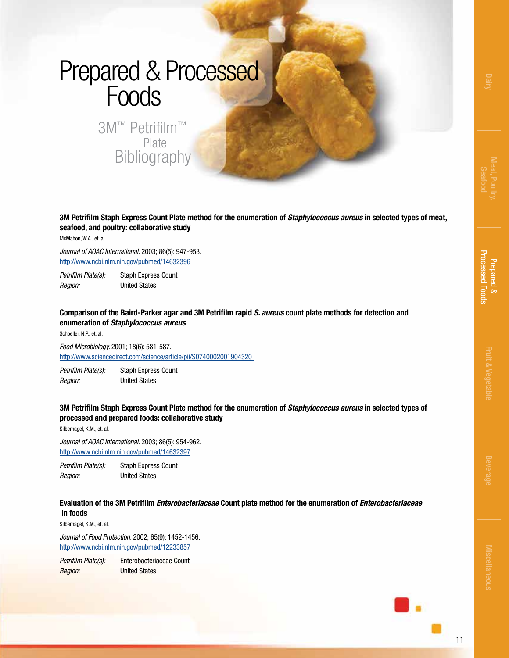# <span id="page-10-0"></span>Prepared & Processed Foods

3M™ Petrifilm™ Plate **Bibliography** 

**3M Petrifilm Staph Express Count Plate method for the enumeration of** *Staphylococcus aureus* **in selected types of meat, seafood, and poultry: collaborative study**

McMahon, W.A., et. al.

*Journal of AOAC International.* 2003; 86(5): 947-953. <http://www.ncbi.nlm.nih.gov/pubmed/14632396>

*Petrifilm Plate(s):* Staph Express Count *Region:* United States

**Comparison of the Baird-Parker agar and 3M Petrifilm rapid** *S. aureus* **count plate methods for detection and enumeration of** *Staphylococcus aureus*

Schoeller, N.P., et. al.

*Food Microbiology.* 2001; 18(6): 581-587. <http://www.sciencedirect.com/science/article/pii/S0740002001904320>

*Petrifilm Plate(s):* Staph Express Count *Region:* United States

### **3M Petrifilm Staph Express Count Plate method for the enumeration of** *Staphylococcus aureus* **in selected types of processed and prepared foods: collaborative study**

Silbernagel, K.M., et. al.

*Journal of AOAC International.* 2003; 86(5): 954-962. <http://www.ncbi.nlm.nih.gov/pubmed/14632397>

*Petrifilm Plate(s):* Staph Express Count *Region:* United States

### **Evaluation of the 3M Petrifilm** *Enterobacteriaceae* **Count plate method for the enumeration of** *Enterobacteriaceae*  **in foods**

Silbernagel, K.M., et. al.

*Journal of Food Protection.* 2002; 65(9): 1452-1456. <http://www.ncbi.nlm.nih.gov/pubmed/12233857>

*Petrifilm Plate(s):* Enterobacteriaceae Count *Region:* United States



11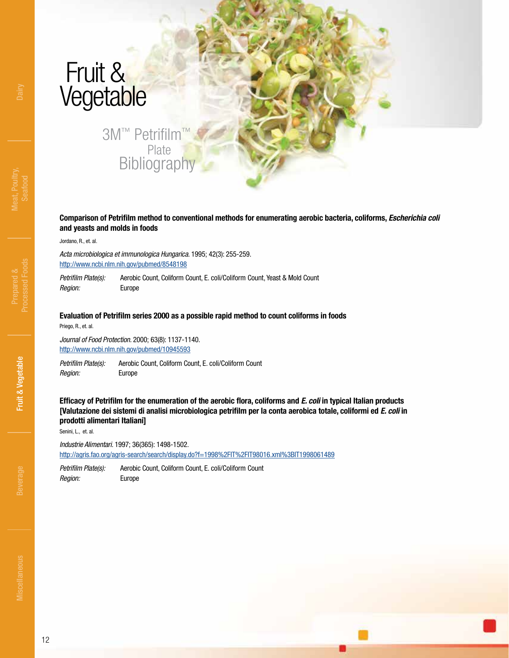# <span id="page-11-0"></span>Fruit & Vegetable

### 3M™ Petrifilm Plate **Bibliography**

**Comparison of Petrifilm method to conventional methods for enumerating aerobic bacteria, coliforms,** *Escherichia coli* **and yeasts and molds in foods**

Jordano, R., et. al.

*Acta microbiologica et immunologica Hungarica.* 1995; 42(3): 255-259. <http://www.ncbi.nlm.nih.gov/pubmed/8548198>

Petrifilm Plate(s): Aerobic Count, Coliform Count, E. coli/Coliform Count, Yeast & Mold Count *Region:* Europe

#### **Evaluation of Petrifilm series 2000 as a possible rapid method to count coliforms in foods**

Priego, R., et. al.

*Journal of Food Protection.* 2000; 63(8): 1137-1140. <http://www.ncbi.nlm.nih.gov/pubmed/10945593>

*Petrifilm Plate(s):* Aerobic Count, Coliform Count, E. coli/Coliform Count *Region:* Europe

**Efficacy of Petrifilm for the enumeration of the aerobic flora, coliforms and** *E. coli* **in typical Italian products [Valutazione dei sistemi di analisi microbiologica petrifilm per la conta aerobica totale, coliformi ed** *E. coli* **in prodotti alimentari Italiani]**

Senini, L., et. al.

*Industrie Alimentari.* 1997; 36(365): 1498-1502. <http://agris.fao.org/agris-search/search/display.do?f=1998%2FIT%2FIT98016.xml%3BIT1998061489>

*Petrifilm Plate(s):* Aerobic Count, Coliform Count, E. coli/Coliform Count *Region:* Europe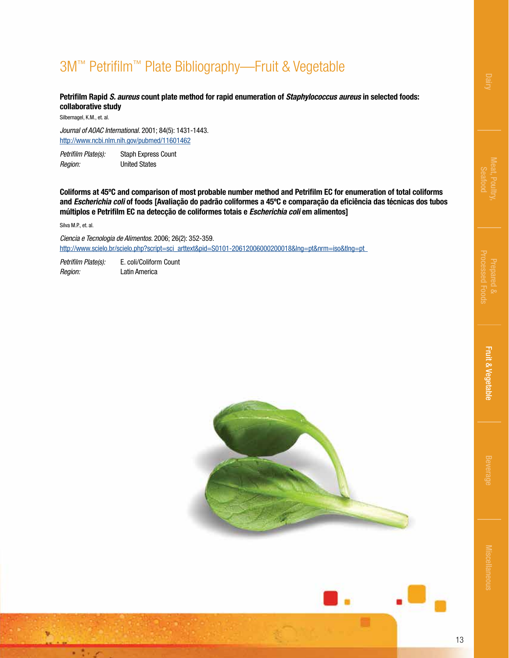# 3M™ Petrifilm™ Plate Bibliography—Fruit & Vegetable

**Petrifilm Rapid** *S. aureus* **count plate method for rapid enumeration of** *Staphylococcus aureus* **in selected foods: collaborative study**

Silbernagel, K.M., et. al.

*Journal of AOAC International.* 2001; 84(5): 1431-1443. <http://www.ncbi.nlm.nih.gov/pubmed/11601462>

*Petrifilm Plate(s):* Staph Express Count *Region:* United States

**Coliforms at 45ºC and comparison of most probable number method and Petrifilm EC for enumeration of total coliforms and** *Escherichia coli* **of foods [Avaliação do padrão coliformes a 45ºC e comparação da eficiência das técnicas dos tubos múltiplos e Petrifilm EC na detecção de coliformes totais e** *Escherichia coli* **em alimentos]**

Silva M.P., et. al.

ų

v.

*Ciencia e Tecnologia de Alimentos.* 2006; 26(2): 352-359. [http://www.scielo.br/scielo.php?script=sci\\_arttext&pid=S0101-20612006000200018&lng=pt&nrm=iso&tlng=pt](http://www.scielo.br/scielo.php?script=sci_arttext&pid=S0101-20612006000200018&lng=pt&nrm=iso&tlng=pt) 

*Petrifilm Plate(s):* E. coli/Coliform Count *Region:* Latin America





13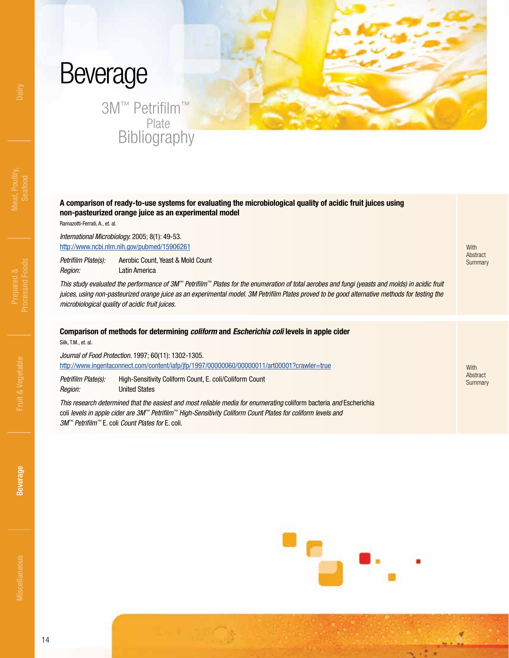# <span id="page-13-0"></span>Beverage

3M™ Petrifilm™ Plate Bibliography

### **A comparison of ready-to-use systems for evaluating the microbiological quality of acidic fruit juices using non-pasteurized orange juice as an experimental model**

Ramazotti-Ferrati, A., et. al.

*International Microbiology.* 2005; 8(1): 49-53. <http://www.ncbi.nlm.nih.gov/pubmed/15906261>

*Petrifilm Plate(s):* Aerobic Count, Yeast & Mold Count *Region:* Latin America

*This study evaluated the performance of 3M™ Petrifilm™ Plates for the enumeration of total aerobes and fungi (yeasts and molds) in acidic fruit juices, using non-pasteurized orange juice as an experimental model. 3M Petrifilm Plates proved to be good alternative methods for testing the microbiological quality of acidic fruit juices.*

### **Comparison of methods for determining** *coliform* **and** *Escherichia coli* **levels in apple cider**

Silk, T.M., et. al.

*Journal of Food Protection.* 1997; 60(11): 1302-1305. <http://www.ingentaconnect.com/content/iafp/jfp/1997/00000060/00000011/art00001?crawler=true>

*Petrifilm Plate(s):* High-Sensitivity Coliform Count, E. coli/Coliform Count *Region:* United States

*This research determined that the easiest and most reliable media for enumerating* coliform bacteria *and* Escherichia coli *levels in apple cider are 3M™ Petrifilm™ High-Sensitivity Coliform Count Plates for coliform levels and 3M™ Petrifilm™* E. coli *Count Plates for* E. coli.

**Summary** 

**With** Abstract

**With** Abstract Summary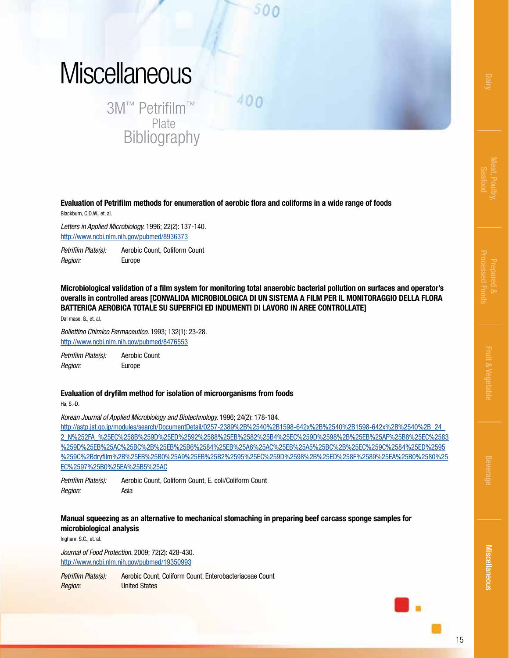# <span id="page-14-0"></span>**Miscellaneous**

3M™ Petrifilm™ Plate **Bibliography**   $400$ 

500

**Evaluation of Petrifilm methods for enumeration of aerobic flora and coliforms in a wide range of foods** Blackburn, C.D.W., et. al.

*Letters in Applied Microbiology.* 1996; 22(2): 137-140. <http://www.ncbi.nlm.nih.gov/pubmed/8936373>

*Petrifilm Plate(s):* Aerobic Count, Coliform Count *Region:* Europe

**Microbiological validation of a film system for monitoring total anaerobic bacterial pollution on surfaces and operator's overalls in controlled areas [CONVALIDA MICROBIOLOGICA DI UN SISTEMA A FILM PER IL MONITORAGGIO DELLA FLORA BATTERICA AEROBICA TOTALE SU SUPERFICI ED INDUMENTI DI LAVORO IN AREE CONTROLLATE]**

Dal maso, G., et. al.

*Bollettino Chimico Farmaceutico.* 1993; 132(1): 23-28. <http://www.ncbi.nlm.nih.gov/pubmed/8476553>

*Petrifilm Plate(s):* Aerobic Count *Region:* Europe

### **Evaluation of dryfilm method for isolation of microorganisms from foods**

Ha, S.-D.

*Korean Journal of Applied Microbiology and Biotechnology.* 1996; 24(2): 178-184.

http://astp.jst.go.jp/modules/search/DocumentDetail/0257-2389%2B%2540%2B1598-642x%2B%2540%2B1598-642x%2B%2540%2B\_24\_ [2\\_N%252FA\\_%25EC%258B%259D%25ED%2592%2588%25EB%2582%25B4%25EC%259D%2598%2B%25EB%25AF%25B8%25EC%2583](http://astp.jst.go.jp/modules/search/DocumentDetail/0257-2389%2B%2540%2B1598-642x%2B%2540%2B1598-642x%2B%2540%2B_24_2_N%252FA_%25EC%258B%259D%25ED%2592%2588%25EB%2582%25B4%25EC%259D%2598%2B%25EB%25AF%25B8%25EC%2583%259D%25EB%25AC%25BC%2B%25EB%25B6%2584%25EB%25A6%25AC%25EB%25A5%25BC%2B%25EC%259C%2584%25ED%2595%259C%2Bdryfilm%2B%25EB%25B0%25A9%25EB%25B2%2595%25EC%259D%2598%2B%25ED%258F%2589%25EA%25B0%2580%25EC%2597%25B0%25EA%25B5%25AC) %259D%25EB%25AC%25BC%2B%25EB%25B6%2584%25EB%25A6%25AC%25EB%25A5%25BC%2B%25EC%259C%2584%25ED%2595 %259C%2Bdryfilm%2B%25EB%25B0%25A9%25EB%25B2%2595%25EC%259D%2598%2B%25ED%258F%2589%25EA%25B0%2580%25 EC%2597%25B0%25EA%25B5%25AC

*Petrifilm Plate(s):* Aerobic Count, Coliform Count, E. coli/Coliform Count *Region:* Asia

### **Manual squeezing as an alternative to mechanical stomaching in preparing beef carcass sponge samples for microbiological analysis**

Ingham, S.C., et. al.

*Journal of Food Protection.* 2009; 72(2): 428-430. <http://www.ncbi.nlm.nih.gov/pubmed/19350993>

Petrifilm Plate(s): Aerobic Count, Coliform Count, Enterobacteriaceae Count *Region:* United States

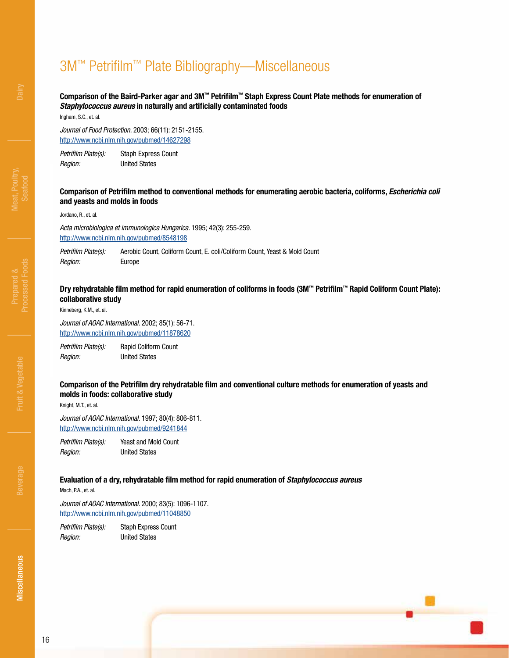### **Comparison of the Baird-Parker agar and 3M™ Petrifilm™ Staph Express Count Plate methods for enumeration of**  *Staphylococcus aureus* **in naturally and artificially contaminated foods**

Ingham, S.C., et. al.

*Journal of Food Protection.* 2003; 66(11): 2151-2155. <http://www.ncbi.nlm.nih.gov/pubmed/14627298>

*Petrifilm Plate(s):* Staph Express Count *Region:* United States

**Comparison of Petrifilm method to conventional methods for enumerating aerobic bacteria, coliforms,** *Escherichia coli* **and yeasts and molds in foods**

Jordano, R., et. al.

*Acta microbiologica et immunologica Hungarica.* 1995; 42(3): 255-259. <http://www.ncbi.nlm.nih.gov/pubmed/8548198>

Petrifilm Plate(s): Aerobic Count, Coliform Count, E. coli/Coliform Count, Yeast & Mold Count *Region:* Europe

### **Dry rehydratable film method for rapid enumeration of coliforms in foods (3M™ Petrifilm™ Rapid Coliform Count Plate): collaborative study**

Kinneberg, K.M., et. al.

*Journal of AOAC International.* 2002; 85(1): 56-71. <http://www.ncbi.nlm.nih.gov/pubmed/11878620>

*Petrifilm Plate(s):* Rapid Coliform Count *Region:* United States

### **Comparison of the Petrifilm dry rehydratable film and conventional culture methods for enumeration of yeasts and molds in foods: collaborative study**

Knight, M.T., et. al.

*Journal of AOAC International.* 1997; 80(4): 806-811. <http://www.ncbi.nlm.nih.gov/pubmed/9241844>

*Petrifilm Plate(s):* Yeast and Mold Count *Region:* United States

### **Evaluation of a dry, rehydratable film method for rapid enumeration of** *Staphylococcus aureus*

Mach, P.A., et. al.

*Journal of AOAC International.* 2000; 83(5): 1096-1107. <http://www.ncbi.nlm.nih.gov/pubmed/11048850>

*Petrifilm Plate(s):* Staph Express Count *Region:* United States

**Miscellaneous**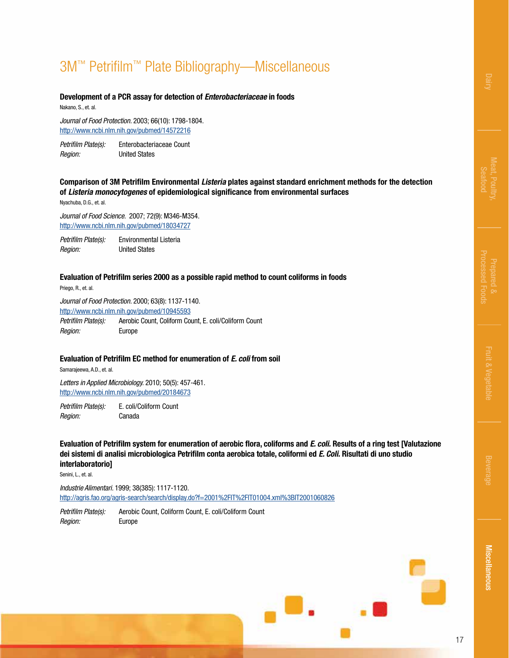### **Development of a PCR assay for detection of** *Enterobacteriaceae* **in foods**

Nakano, S., et. al.

*Journal of Food Protection.* 2003; 66(10): 1798-1804. <http://www.ncbi.nlm.nih.gov/pubmed/14572216>

*Petrifilm Plate(s):* Enterobacteriaceae Count *Region:* United States

### **Comparison of 3M Petrifilm Environmental** *Listeria* **plates against standard enrichment methods for the detection of** *Listeria monocytogenes* **of epidemiological significance from environmental surfaces**

Nyachuba, D.G., et. al.

*Journal of Food Science.* 2007; 72(9): M346-M354. <http://www.ncbi.nlm.nih.gov/pubmed/18034727>

*Petrifilm Plate(s):* Environmental Listeria *Region:* United States

### **Evaluation of Petrifilm series 2000 as a possible rapid method to count coliforms in foods**

Priego, R., et. al.

*Journal of Food Protection.* 2000; 63(8): 1137-1140. <http://www.ncbi.nlm.nih.gov/pubmed/10945593> *Petrifilm Plate(s):* Aerobic Count, Coliform Count, E. coli/Coliform Count *Region:* Europe

#### **Evaluation of Petrifilm EC method for enumeration of** *E. coli* **from soil**

Samarajeewa, A.D., et. al.

*Letters in Applied Microbiology.* 2010; 50(5): 457-461. <http://www.ncbi.nlm.nih.gov/pubmed/20184673>

*Petrifilm Plate(s):* E. coli/Coliform Count *Region:* Canada

**Evaluation of Petrifilm system for enumeration of aerobic flora, coliforms and** *E. coli.* **Results of a ring test [Valutazione dei sistemi di analisi microbiologica Petrifilm conta aerobica totale, coliformi ed** *E. Coli.* **Risultati di uno studio interlaboratorio]**

Senini, L., et. al.

*Industrie Alimentari.* 1999; 38(385): 1117-1120. <http://agris.fao.org/agris-search/search/display.do?f=2001%2FIT%2FIT01004.xml%3BIT2001060826>

*Petrifilm Plate(s):* Aerobic Count, Coliform Count, E. coli/Coliform Count *Region:* Europe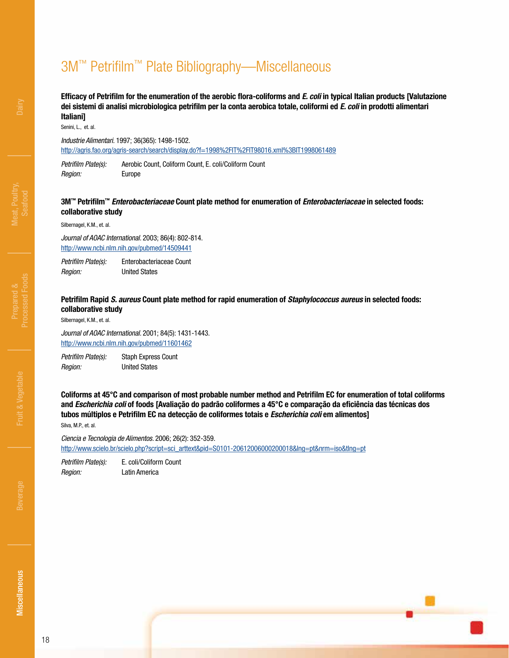### **Efficacy of Petrifilm for the enumeration of the aerobic flora-coliforms and** *E. coli* **in typical Italian products [Valutazione dei sistemi di analisi microbiologica petrifilm per la conta aerobica totale, coliformi ed** *E. coli* **in prodotti alimentari Italiani]**

Senini, L., et. al.

*Industrie Alimentari.* 1997; 36(365): 1498-1502. <http://agris.fao.org/agris-search/search/display.do?f=1998%2FIT%2FIT98016.xml%3BIT1998061489>

*Petrifilm Plate(s):* Aerobic Count, Coliform Count, E. coli/Coliform Count *Region:* Europe

### **3M™ Petrifilm™** *Enterobacteriaceae* **Count plate method for enumeration of** *Enterobacteriaceae* **in selected foods: collaborative study**

Silbernagel, K.M., et. al.

*Journal of AOAC International.* 2003; 86(4): 802-814. <http://www.ncbi.nlm.nih.gov/pubmed/14509441>

*Petrifilm Plate(s):* Enterobacteriaceae Count *Region:* United States

### **Petrifilm Rapid** *S. aureus* **Count plate method for rapid enumeration of** *Staphylococcus aureus* **in selected foods: collaborative study**

Silbernagel, K.M., et. al.

*Journal of AOAC International.* 2001; 84(5): 1431-1443. <http://www.ncbi.nlm.nih.gov/pubmed/11601462>

*Petrifilm Plate(s):* Staph Express Count *Region:* United States

**Coliforms at 45°C and comparison of most probable number method and Petrifilm EC for enumeration of total coliforms and** *Escherichia coli* **of foods [Avaliação do padrão coliformes a 45°C e comparação da eficiência das técnicas dos tubos múltiplos e Petrifilm EC na detecção de coliformes totais e** *Escherichia coli* **em alimentos]** Silva, M.P., et. al.

*Ciencia e Tecnologia de Alimentos.* 2006; 26(2): 352-359. [http://www.scielo.br/scielo.php?script=sci\\_arttext&pid=S0101-20612006000200018&lng=pt&nrm=iso&tlng=pt](http://www.scielo.br/scielo.php?script=sci_arttext&pid=S0101-20612006000200018&lng=pt&nrm=iso&tlng=pt)

*Petrifilm Plate(s):* E. coli/Coliform Count *Region:* Latin America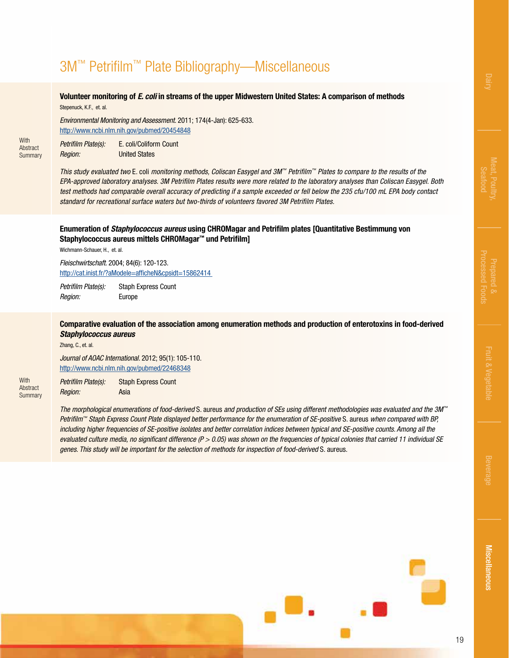### **Volunteer monitoring of** *E. coli* **in streams of the upper Midwestern United States: A comparison of methods** Stepenuck, K.F., et. al.

*Environmental Monitoring and Assessment.* 2011; 174(4-Jan): 625-633. <http://www.ncbi.nlm.nih.gov/pubmed/20454848>

*Petrifilm Plate(s):* E. coli/Coliform Count *Region:* United States

**With** Abstract **Summary** 

**With** Abstract **Summary** 

*This study evaluated two* E. coli *monitoring methods, Coliscan Easygel and 3M™ Petrifilm™ Plates to compare to the results of the EPA-approved laboratory analyses. 3M Petrifilm Plates results were more related to the laboratory analyses than Coliscan Easygel. Both test methods had comparable overall accuracy of predicting if a sample exceeded or fell below the 235 cfu/100 mL EPA body contact standard for recreational surface waters but two-thirds of volunteers favored 3M Petrifilm Plates.*

### **Enumeration of** *Staphylococcus aureus* **using CHROMagar and Petrifilm plates [Quantitative Bestimmung von Staphylococcus aureus mittels CHROMagar™ und Petrifilm]**

Wichmann-Schauer, H., et. al.

*Fleischwirtschaft.* 2004; 84(6): 120-123. <http://cat.inist.fr/?aModele=afficheN&cpsidt=15862414>

*Petrifilm Plate(s):* Staph Express Count *Region:* Europe

### **Comparative evaluation of the association among enumeration methods and production of enterotoxins in food-derived**  *Staphylococcus aureus*

Zhang, C., et. al.

*Journal of AOAC International.* 2012; 95(1): 105-110. <http://www.ncbi.nlm.nih.gov/pubmed/22468348>

*Petrifilm Plate(s):* Staph Express Count *Region:* Asia

*The morphological enumerations of food-derived* S. aureus *and production of SEs using different methodologies was evaluated and the 3M™ Petrifilm™ Staph Express Count Plate displayed better performance for the enumeration of SE-positive S.* aureus when compared with BP, *including higher frequencies of SE-positive isolates and better correlation indices between typical and SE-positive counts. Among all the evaluated culture media, no significant difference (P > 0.05) was shown on the frequencies of typical colonies that carried 11 individual se genes. This study will be important for the selection of methods for inspection of food-derived* S. aureus.